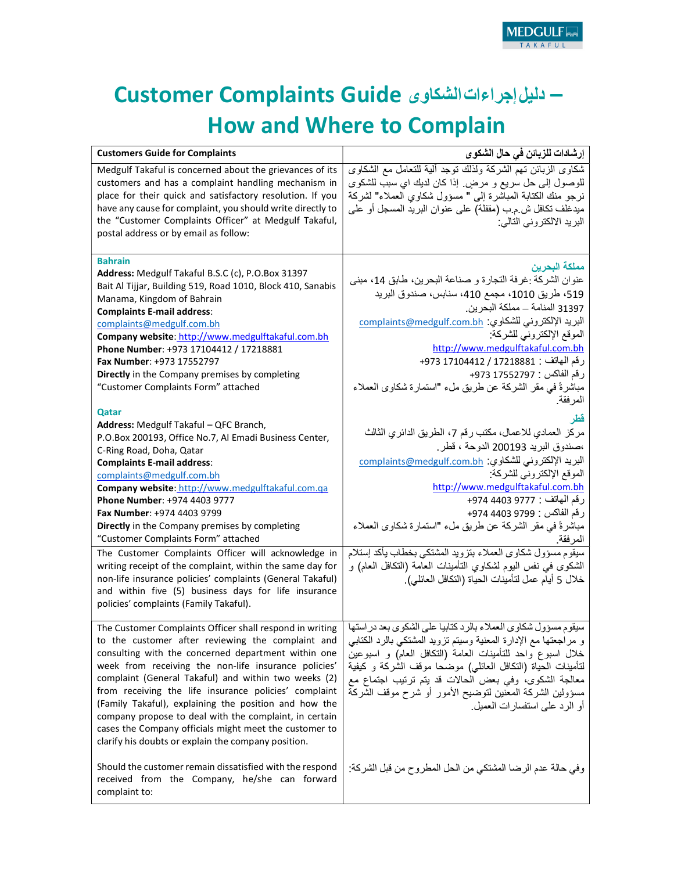## Customer Complaints Guide دليلإجراءاتالشكاوى – How and Where to Complain

| <b>Customers Guide for Complaints</b>                                                                                                                                                                                                                                                                                                                                                                                                                                                                                                                                             | إرشادات للزبائن في حال الشكوى                                                                                                                                                                                                                                                                                                                                                                                                                 |
|-----------------------------------------------------------------------------------------------------------------------------------------------------------------------------------------------------------------------------------------------------------------------------------------------------------------------------------------------------------------------------------------------------------------------------------------------------------------------------------------------------------------------------------------------------------------------------------|-----------------------------------------------------------------------------------------------------------------------------------------------------------------------------------------------------------------------------------------------------------------------------------------------------------------------------------------------------------------------------------------------------------------------------------------------|
| Medgulf Takaful is concerned about the grievances of its<br>customers and has a complaint handling mechanism in<br>place for their quick and satisfactory resolution. If you<br>have any cause for complaint, you should write directly to<br>the "Customer Complaints Officer" at Medgulf Takaful,<br>postal address or by email as follow:                                                                                                                                                                                                                                      | شكاوي الزبائن تهم الشركة ولذلك نوجد ألية للتعامل مع الشكاوي<br>للوصول إلى حل سريع و مرضٍ. إذا كان لديك اي سبب للشكوى<br>نرجو منك الكتابة المباشرة إلى " مسؤول شكاوي العملاء" لشركة<br>ميدغلف نكافل ش م ب (مقفلة) على عنوان البريد المسجل أو على<br>البريد الالكتروني التالي:                                                                                                                                                                  |
| <b>Bahrain</b><br>Address: Medgulf Takaful B.S.C (c), P.O.Box 31397<br>Bait Al Tijjar, Building 519, Road 1010, Block 410, Sanabis<br>Manama, Kingdom of Bahrain<br><b>Complaints E-mail address:</b><br>complaints@medgulf.com.bh<br>Company website: http://www.medgulftakaful.com.bh<br>Phone Number: +973 17104412 / 17218881<br>Fax Number: +973 17552797<br>Directly in the Company premises by completing<br>"Customer Complaints Form" attached<br>Qatar                                                                                                                  | مملكة البحرين<br>عنوان الشركة :غرفة التجارة و صناعة البحرين، طابق 14، مبنى<br>519، طريق 1010، مجمع 410، سنابس، صندوق البريد<br>31397 المنامة ــ مملكة البحرين.<br>البريد الإلكتروني للشكاوي: complaints@medgulf.com.bh<br>الموقع الإلكتروني للشركة:<br>http://www.medgulftakaful.com.bh<br>رقم الهاتف : 17218881 / 17104412 973+<br>رقم الفاكس : 17552797 973+<br>مباشرةً في مقر الشركة عن طريق ملء "استمارة شكاوي العملاء<br>المرفقة.<br>قطر |
| Address: Medgulf Takaful - QFC Branch,<br>P.O.Box 200193, Office No.7, Al Emadi Business Center,<br>C-Ring Road, Doha, Qatar<br><b>Complaints E-mail address:</b><br>complaints@medgulf.com.bh<br>Company website: http://www.medgulftakaful.com.ga<br>Phone Number: +974 4403 9777<br>Fax Number: +974 4403 9799<br>Directly in the Company premises by completing<br>"Customer Complaints Form" attached                                                                                                                                                                        | مركز العمادي للاعمال، مكتب رقم 7، الطريق الدائري الثالث<br>،صندوق البريد 200193 الدوحة ، قطر .<br>البريد الإلكتروني للشكاوي: complaints@medgulf.com.bh<br>الموقع الإلكتروني للشركة:<br>http://www.medgulftakaful.com.bh<br>رقم الهاتف : 9777 4403 974+<br>رقم الفاكس : 9799 4403 974+<br>مباشرةً في مقر الشركة عن طريق ملء "استمارة شكاوى العملاء<br>المرفقة.                                                                                 |
| The Customer Complaints Officer will acknowledge in<br>writing receipt of the complaint, within the same day for<br>non-life insurance policies' complaints (General Takaful)<br>and within five (5) business days for life insurance<br>policies' complaints (Family Takaful).                                                                                                                                                                                                                                                                                                   | سيقوم مسؤول شكاوى العملاء بتزويد المشتكى بخطاب يأكد إستلام<br>الشكوى في نفس البوم لشكاوي التأمينات العامة (التكافل العام) و<br>خلال 5 أيام عمل لتأمينات الحياة (التكافل العائلي).                                                                                                                                                                                                                                                             |
| The Customer Complaints Officer shall respond in writing<br>to the customer after reviewing the complaint and<br>consulting with the concerned department within one<br>week from receiving the non-life insurance policies'<br>complaint (General Takaful) and within two weeks (2)<br>from receiving the life insurance policies' complaint<br>(Family Takaful), explaining the position and how the<br>company propose to deal with the complaint, in certain<br>cases the Company officials might meet the customer to<br>clarify his doubts or explain the company position. | سيقوم مسؤول شكاوي العملاء بالرد كتابيا على الشكوى بعد در استها<br>و مراجعتها مع الإدارة المعنية وسيتم نزويد المشتكي بالرد الكتابي<br>خلال اسبوع واحد للتأمينات العامة (النكافل العام) و اسبوعين<br>لتأمينات الحياة (التكافل العائلي) موضحا موقف الشركة و كيفية<br>معالجة الشكوى، وفي بعض الحالات قد يتم ترتيب اجتماع مع<br>مسؤولين الشركة المعنين لتوضيح الأمور أو شرح موقف الشركة<br>أو الرد على استفسار ات العميل.                          |
| Should the customer remain dissatisfied with the respond<br>received from the Company, he/she can forward<br>complaint to:                                                                                                                                                                                                                                                                                                                                                                                                                                                        | وفي حالة عدم الرضا المشتكي من الحل المطروح من قبل الشركة:                                                                                                                                                                                                                                                                                                                                                                                     |